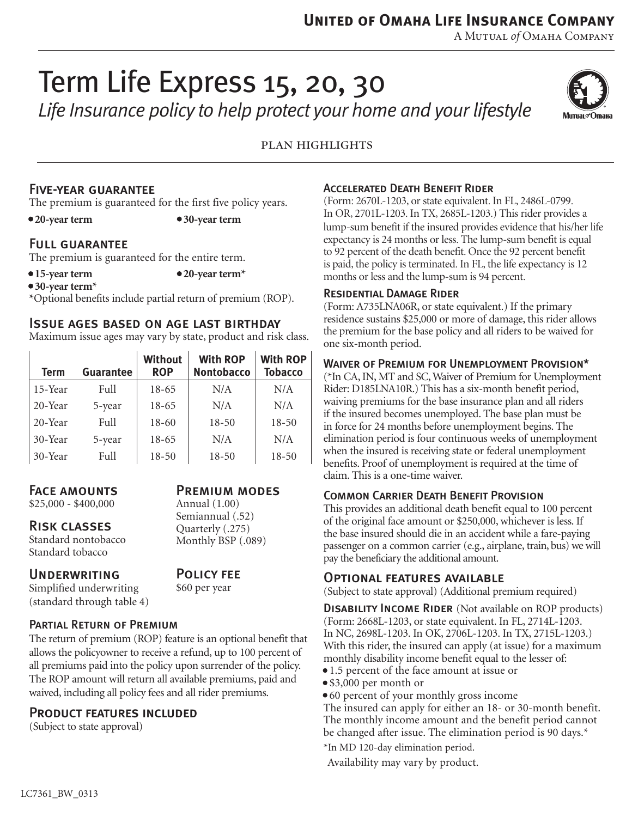**United of Omaha Life Insurance Company**

A Mutual *of* Omaha Company

# Term Life Express 15, 20, 30 *Life Insurance policy to help protect your home and your lifestyle*



plan highlights

## Five-year guarantee

The premium is guaranteed for the first five policy years.

**• 20-year term • 30-year term**

## Full guarantee

The premium is guaranteed for the entire term.

**• 15-year term • 20-year term\***

**• 30-year term\***

**\***Optional benefits include partial return of premium (ROP).

#### Issue ages based on age last birthday

Maximum issue ages may vary by state, product and risk class.

| <b>Term</b> | <b>Guarantee</b> | <b>Without</b><br><b>ROP</b> | <b>With ROP</b><br><b>Nontobacco</b> | <b>With ROP</b><br><b>Tobacco</b> |
|-------------|------------------|------------------------------|--------------------------------------|-----------------------------------|
| 15-Year     | Full             | 18-65                        | N/A                                  | N/A                               |
| 20-Year     | 5-year           | $18-65$                      | N/A                                  | N/A                               |
| 20-Year     | Full             | $18-60$                      | $18 - 50$                            | $18 - 50$                         |
| 30-Year     | 5-year           | $18-65$                      | N/A                                  | N/A                               |
| 30-Year     | Full             | $18 - 50$                    | $18 - 50$                            | $18 - 50$                         |

# Face amounts

\$25,000 - \$400,000

#### Risk classes

Standard nontobacco Standard tobacco

#### **UNDERWRITING**

Simplified underwriting (standard through table 4)

Policy fee \$60 per year

Annual (1.00) Semiannual (.52) Quarterly (.275) Monthly BSP (.089)

Premium modes

#### Partial Return of Premium

The return of premium (ROP) feature is an optional benefit that allows the policyowner to receive a refund, up to 100 percent of all premiums paid into the policy upon surrender of the policy. The ROP amount will return all available premiums, paid and waived, including all policy fees and all rider premiums.

#### Product features included

(Subject to state approval)

### Accelerated Death Benefit Rider

(Form: 2670L-1203, or state equivalent. In FL, 2486L-0799. In OR, 2701L-1203. In TX, 2685L-1203.) This rider provides a lump-sum benefit if the insured provides evidence that his/her life expectancy is 24 months or less. The lump-sum benefit is equal to 92 percent of the death benefit. Once the 92 percent benefit is paid, the policy is terminated. In FL, the life expectancy is 12 months or less and the lump-sum is 94 percent.

#### Residential Damage Rider

(Form: A735LNA06R, or state equivalent.) If the primary residence sustains \$25,000 or more of damage, this rider allows the premium for the base policy and all riders to be waived for one six-month period.

#### Waiver of Premium for Unemployment Provision\*

(\*In CA, IN, MT and SC, Waiver of Premium for Unemployment Rider: D185LNA10R.) This has a six-month benefit period, waiving premiums for the base insurance plan and all riders if the insured becomes unemployed. The base plan must be in force for 24 months before unemployment begins. The elimination period is four continuous weeks of unemployment when the insured is receiving state or federal unemployment benefits. Proof of unemployment is required at the time of claim. This is a one-time waiver.

#### Common Carrier Death Benefit Provision

This provides an additional death benefit equal to 100 percent of the original face amount or \$250,000, whichever is less. If the base insured should die in an accident while a fare-paying passenger on a common carrier (e.g., airplane, train, bus) we will pay the beneficiary the additional amount.

#### Optional features available

(Subject to state approval) (Additional premium required)

**DISABILITY INCOME RIDER** (Not available on ROP products) (Form: 2668L-1203, or state equivalent. In FL, 2714L-1203. In NC, 2698L-1203. In OK, 2706L-1203. In TX, 2715L-1203.) With this rider, the insured can apply (at issue) for a maximum monthly disability income benefit equal to the lesser of:

- 1.5 percent of the face amount at issue or
- \$3,000 per month or
- 60 percent of your monthly gross income

The insured can apply for either an 18- or 30-month benefit. The monthly income amount and the benefit period cannot be changed after issue. The elimination period is 90 days.\*

\*In MD 120-day elimination period.

Availability may vary by product.